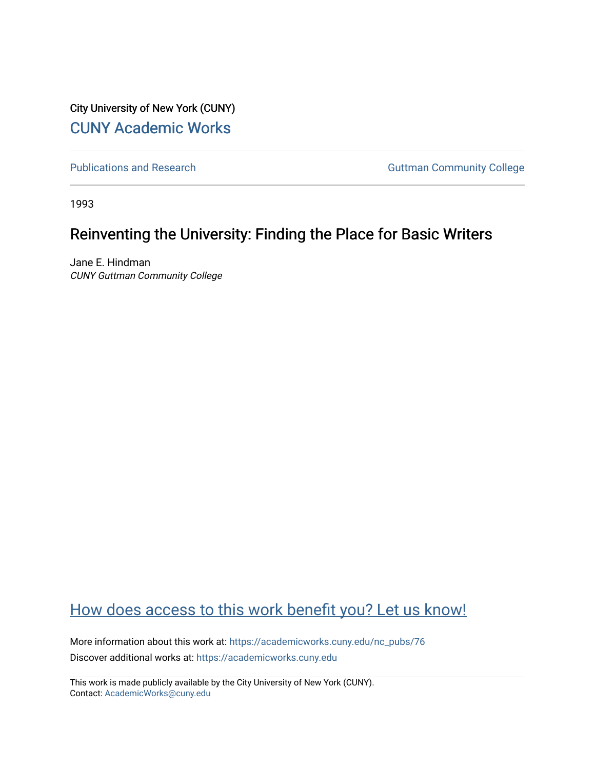City University of New York (CUNY) [CUNY Academic Works](https://academicworks.cuny.edu/) 

[Publications and Research](https://academicworks.cuny.edu/nc_pubs) **Guttman Community College** 

1993

# Reinventing the University: Finding the Place for Basic Writers

Jane E. Hindman CUNY Guttman Community College

# [How does access to this work benefit you? Let us know!](http://ols.cuny.edu/academicworks/?ref=https://academicworks.cuny.edu/nc_pubs/76)

More information about this work at: [https://academicworks.cuny.edu/nc\\_pubs/76](https://academicworks.cuny.edu/nc_pubs/76)  Discover additional works at: [https://academicworks.cuny.edu](https://academicworks.cuny.edu/?)

This work is made publicly available by the City University of New York (CUNY). Contact: [AcademicWorks@cuny.edu](mailto:AcademicWorks@cuny.edu)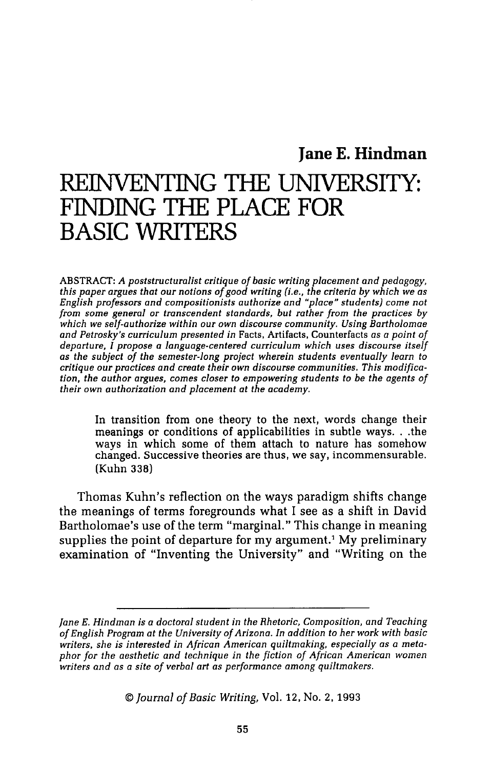## **Jane E. Hindman**

# REINVENTING THE **UNIVERSITY: FINDING** THE PLACE **FOR BASIC WRITERS**

ABSTRACT: *A poststructuralist critique of basic writing placement and pedagogy, this paper argues that our notions of good writing (i.e., the criteria by which we as English professors and compositionists authorize and "place" students) come not from some general or transcendent standards, but rather from the practices by which we self-authorize within our own discourse community. Using Bartholomae and Petrosky's curriculum presented in* Facts, Artifacts, Counterfacts *as a point of departure, I propose a language-centered curriculum which uses discourse itself as the subject of the semester-Jong project wherein students eventually learn to critique our practices and create their own discourse communities. This modification, the author argues, comes closer to empowering students to be the agents of their own authorization and placement at the academy.* 

In transition from one theory to the next, words change their meanings or conditions of applicabilities in subtle ways ... the ways in which some of them attach to nature has somehow changed. Successive theories are thus, we say, incommensurable. (Kuhn 338)

Thomas Kuhn's reflection on the ways paradigm shifts change the meanings of terms foregrounds what I see as a shift in David Bartholomae's use of the term "marginal." This change in meaning supplies the point of departure for my argument.<sup>1</sup> My preliminary examination of "Inventing the University" and "Writing on the

*©Journal of Basic Writing,* Vol. 12, No. 2, 1993

*Jane E. Hindman* is *a doctoral student in the Rhetoric, Composition, and Teaching of English Program at the University of Arizona. In addition to her work with basic writers, she* is *interested in African American quiltmaking, especially as a metaphor for the aesthetic and technique in the fiction of African American women writers and as a site of verbal art as performance among quiltmakers.*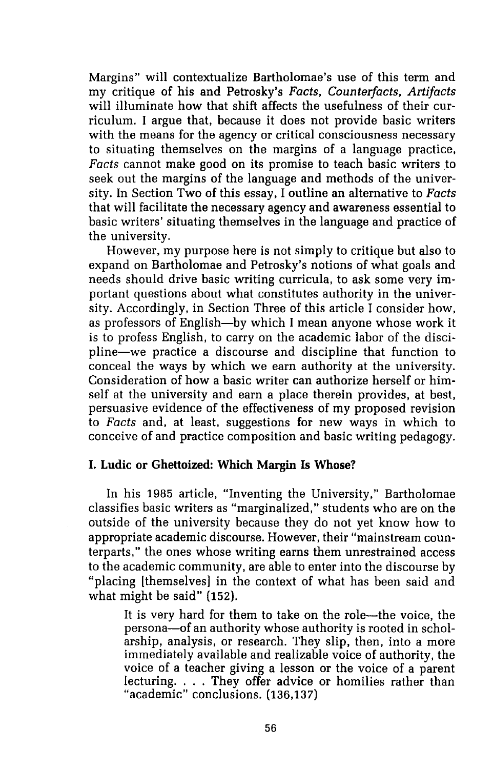Margins" will contextualize Bartholomae's use of this term and my critique of his and Petrosky's *Facts, Counter/acts, Artifacts*  will illuminate how that shift affects the usefulness of their curriculum. I argue that, because it does not provide basic writers with the means for the agency or critical consciousness necessary to situating themselves on the margins of a language practice, *Facts* cannot make good on its promise to teach basic writers to seek out the margins of the language and methods of the university. In Section Two of this essay, I outline an alternative to *Facts*  that will facilitate the necessary agency and awareness essential to basic writers' situating themselves in the language and practice of the university.

However, my purpose here is not simply to critique but also to expand on Bartholomae and Petrosky's notions of what goals and needs should drive basic writing curricula, to ask some very important questions about what constitutes authority in the university. Accordingly, in Section Three of this article I consider how, as professors of English-by which I mean anyone whose work it is to profess English, to carry on the academic labor of the discipline-we practice a discourse and discipline that function to conceal the ways by which we earn authority at the university. Consideration of how a basic writer can authorize herself or himself at the university and earn a place therein provides, at best, persuasive evidence of the effectiveness of my proposed revision to *Facts* and, at least, suggestions for new ways in which to conceive of and practice composition and basic writing pedagogy.

#### **I. Ludie or Ghettoized: Which Margin Is Whose?**

In his 1985 article, "Inventing the University," Bartholomae classifies basic writers as "marginalized," students who are on the outside of the university because they do not yet know how to appropriate academic discourse. However, their "mainstream counterparts," the ones whose writing earns them unrestrained access to the academic community, are able to enter into the discourse by "placing [themselves] in the context of what has been said and what might be said" (152).

It is very hard for them to take on the role—the voice, the persona-of an authority whose authority is rooted in scholarship, analysis, or research. They slip, then, into a more immediately available and realizable voice of authority, the voice of a teacher giving a lesson or the voice of a parent lecturing. . . . They offer advice or homilies rather than "academic" conclusions. (136,137)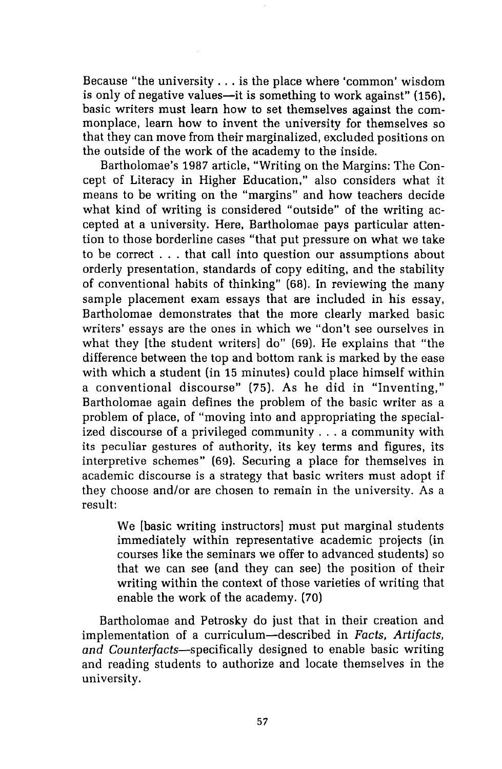Because "the university ... is the place where 'common' wisdom is only of negative values—it is something to work against" (156). basic writers must learn how to set themselves against the commonplace, learn how to invent the university for themselves so that they can move from their marginalized, excluded positions on the outside of the work of the academy to the inside.

Bartholomae's 1987 article, "Writing on the Margins: The Concept of Literacy in Higher Education," also considers what it means to be writing on the "margins" and how teachers decide what kind of writing is considered "outside" of the writing accepted at a university. Here, Bartholomae pays particular attention to those borderline cases "that put pressure on what we take to be correct . . . that call into question our assumptions about orderly presentation, standards of copy editing, and the stability of conventional habits of thinking" (68). In reviewing the many sample placement exam essays that are included in his essay, Bartholomae demonstrates that the more clearly marked basic writers' essays are the ones in which we "don't see ourselves in what they [the student writers] do" (69). He explains that "the difference between the top and bottom rank is marked by the ease with which a student (in 15 minutes) could place himself within a conventional discourse" (75). As he did in "Inventing," Bartholomae again defines the problem of the basic writer as a problem of place, of "moving into and appropriating the specialized discourse of a privileged community ... a community with its peculiar gestures of authority, its key terms and figures, its interpretive schemes" (69). Securing a place for themselves in academic discourse is a strategy that basic writers must adopt if they choose and/or are chosen to remain in the university. As a result:

We [basic writing instructors] must put marginal students immediately within representative academic projects (in courses like the seminars we offer to advanced students) so that we can see (and they can see) the position of their writing within the context of those varieties of writing that enable the work of the academy. (70)

Bartholomae and Petrosky do just that in their creation and implementation of a curriculum-described in *Facts, Artifacts, and* Counterfacts-specifically designed to enable basic writing and reading students to authorize and locate themselves in the university.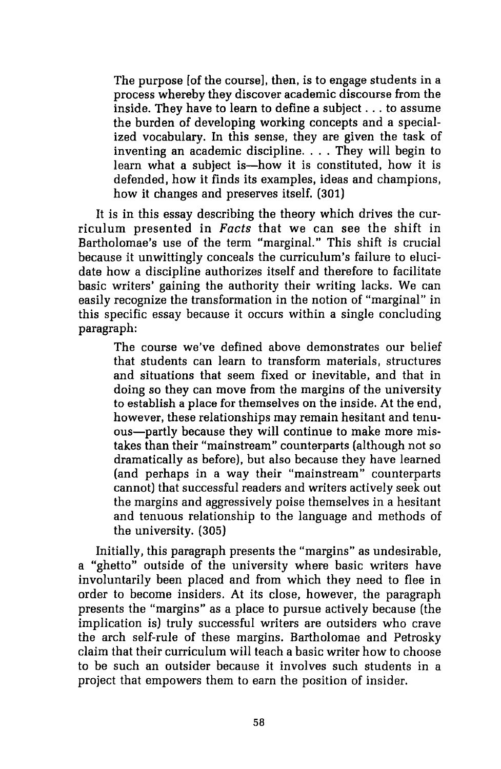The purpose [of the course], then, is to engage students in a process whereby they discover academic discourse from the inside. They have to learn to define a subject ... to assume the burden of developing working concepts and a specialized vocabulary. In this sense, they are given the task of inventing an academic discipline.... They will begin to learn what a subject is—how it is constituted, how it is defended, how it finds its examples, ideas and champions, how it changes and preserves itself. (301)

It is in this essay describing the theory which drives the curriculum presented in *Facts* that we can see the shift in Bartholomae's use of the term "marginal." This shift is crucial because it unwittingly conceals the curriculum's failure to elucidate how a discipline authorizes itself and therefore to facilitate basic writers' gaining the authority their writing lacks. We can easily recognize the transformation in the notion of "marginal" in this specific essay because it occurs within a single concluding paragraph:

The course we've defined above demonstrates our belief that students can learn to transform materials, structures and situations that seem fixed or inevitable, and that in doing so they can move from the margins of the university to establish a place for themselves on the inside. At the end, however, these relationships may remain hesitant and tenuous-partly because they will continue to make more mistakes than their "mainstream" counterparts (although not so dramatically as before), but also because they have learned (and perhaps in a way their "mainstream" counterparts cannot) that successful readers and writers actively seek out the margins and aggressively poise themselves in a hesitant and tenuous relationship to the language and methods of the university. (305)

Initially, this paragraph presents the "margins" as undesirable, a "ghetto" outside of the university where basic writers have involuntarily been placed and from which they need to flee in order to become insiders. At its close, however, the paragraph presents the "margins" as a place to pursue actively because (the implication is) truly successful writers are outsiders who crave the arch self-rule of these margins. Bartholomae and Petrosky claim that their curriculum will teach a basic writer how to choose to be such an outsider because it involves such students in a project that empowers them to earn the position of insider.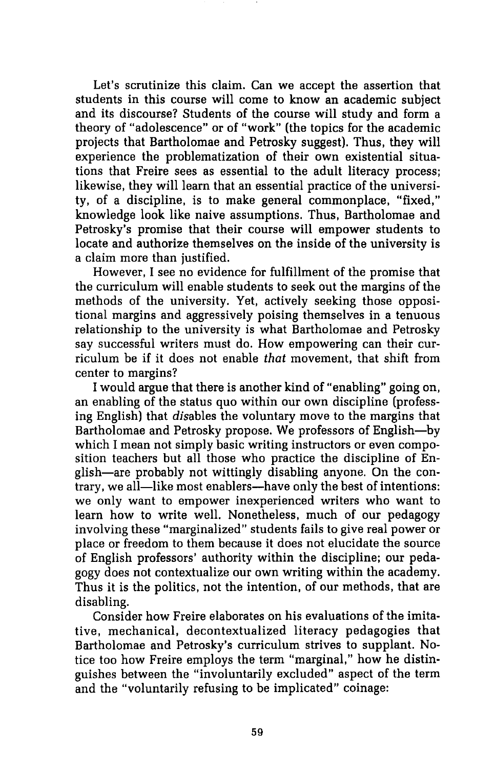Let's scrutinize this claim. Can we accept the assertion that students in this course will come to know an academic subject and its discourse? Students of the course will study and form a theory of "adolescence" or of "work" (the topics for the academic projects that Bartholomae and Petrosky suggest). Thus, they will experience the problematization of their own existential situations that Freire sees as essential to the adult literacy process; likewise, they will learn that an essential practice of the university, of a discipline, is to make general commonplace, "fixed," knowledge look like naive assumptions. Thus, Bartholomae and Petrosky's promise that their course will empower students to locate and authorize themselves on the inside of the university is a claim more than justified.

However, I see no evidence for fulfillment of the promise that the curriculum will enable students to seek out the margins of the methods of the university. Yet, actively seeking those oppositional margins and aggressively poising themselves in a tenuous relationship to the university is what Bartholomae and Petrosky say successful writers must do. How empowering can their curriculum be if it does not enable *that* movement, that shift from center to margins?

I would argue that there is another kind of "enabling" going on, an enabling of the status quo within our own discipline (professing English) that disables the voluntary move to the margins that Bartholomae and Petrosky propose. We professors of English-by which I mean not simply basic writing instructors or even composition teachers but all those who practice the discipline of English-are probably not wittingly disabling anyone. On the contrary, we all—like most enablers—have only the best of intentions: we only want to empower inexperienced writers who want to learn how to write well. Nonetheless, much of our pedagogy involving these "marginalized" students fails to give real power or place or freedom to them because it does not elucidate the source of English professors' authority within the discipline; our pedagogy does not contextualize our own writing within the academy. Thus it is the politics, not the intention, of our methods, that are disabling.

Consider how Freire elaborates on his evaluations of the imitative, mechanical, decontextualized literacy pedagogies that Bartholomae and Petrosky's curriculum strives to supplant. Notice too how Freire employs the term "marginal," how he distinguishes between the "involuntarily excluded" aspect of the term and the "voluntarily refusing to be implicated" coinage: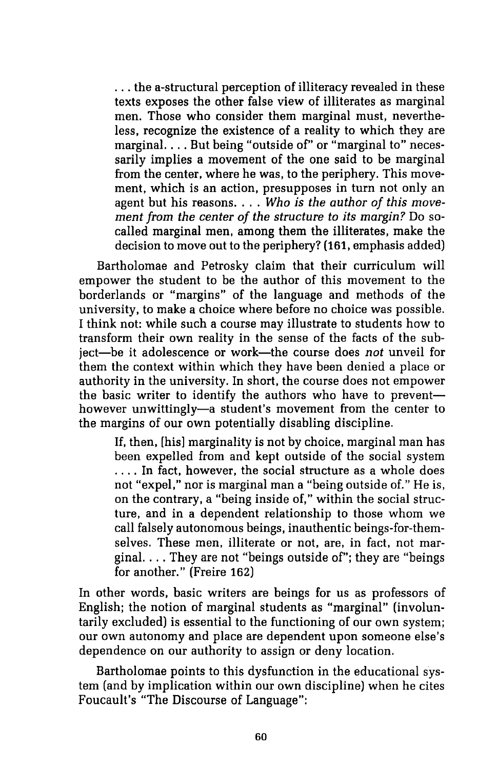... the a-structural perception of illiteracy revealed in these texts exposes the other false view of illiterates as marginal men. Those who consider them marginal must, nevertheless, recognize the existence of a reality to which they are marginal. . . . But being "outside of" or "marginal to" necessarily implies a movement of the one said to be marginal from the center, where he was, to the periphery. This movement, which is an action, presupposes in turn not only an agent but his reasons .... *Who is the author of this movement from the center of the structure to its margin?* Do socalled marginal men, among them the illiterates, make the decision to move out to the periphery? (161, emphasis added)

Bartholomae and Petrosky claim that their curriculum will empower the student to be the author of this movement to the borderlands or "margins" of the language and methods of the university, to make a choice where before no choice was possible. I think not: while such a course may illustrate to students how to transform their own reality in the sense of the facts of the subject-be it adolescence or work-the course does *not* unveil for them the context within which they have been denied a place or authority in the university. In short, the course does not empower the basic writer to identify the authors who have to preventhowever unwittingly—a student's movement from the center to the margins of our own potentially disabling discipline.

If, then, [his] marginality is not by choice, marginal man has been expelled from and kept outside of the social system .... In fact, however, the social structure as a whole does not "expel," nor is marginal man a "being outside of." He is, on the contrary, a "being inside of," within the social structure, and in a dependent relationship to those whom we call falsely autonomous beings, inauthentic beings-for-themselves. These men, illiterate or not, are, in fact, not marginal. ... They are not "beings outside of"; they are "beings for another." (Freire 162)

In other words, basic writers are beings for us as professors of English; the notion of marginal students as "marginal" (involuntarily excluded) is essential to the functioning of our own system; our own autonomy and place are dependent upon someone else's dependence on our authority to assign or deny location.

Bartholomae points to this dysfunction in the educational system (and by implication within our own discipline) when he cites Foucault's "The Discourse of Language":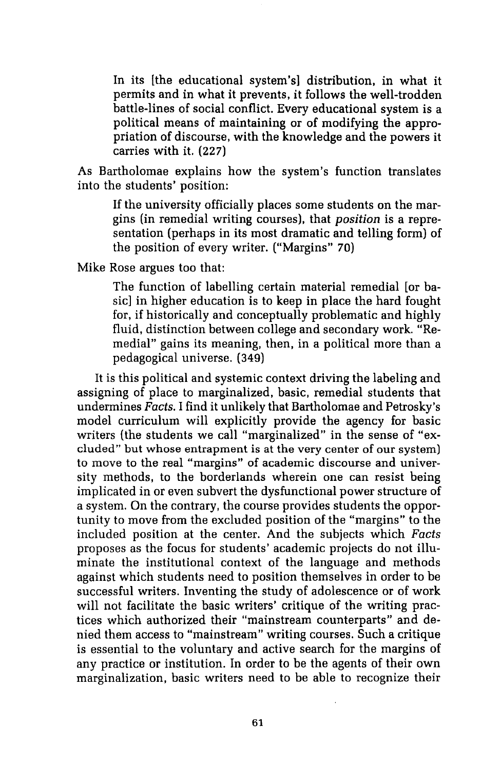In its [the educational system's] distribution, in what it permits and in what it prevents, it follows the well-trodden battle-lines of social conflict. Every educational system is a political means of maintaining or of modifying the appropriation of discourse, with the knowledge and the powers it carries with it. (227)

As Bartholomae explains how the system's function translates into the students' position:

If the university officially places some students on the margins (in remedial writing courses), that *position* is a representation (perhaps in its most dramatic and telling form) of the position of every writer. ("Margins" 70)

Mike Rose argues too that:

The function of labelling certain material remedial [or basic] in higher education is to keep in place the hard fought for, if historically and conceptually problematic and highly fluid, distinction between college and secondary work. "Remedial" gains its meaning, then, in a political more than a pedagogical universe. (349)

It is this political and systemic context driving the labeling and assigning of place to marginalized, basic, remedial students that undermines *Facts.* I find it unlikely that Bartholomae and Petrosky's model curriculum will explicitly provide the agency for basic writers (the students we call "marginalized" in the sense of "excluded" but whose entrapment is at the very center of our system) to move to the real "margins" of academic discourse and university methods, to the borderlands wherein one can resist being implicated in or even subvert the dysfunctional power structure of a system. On the contrary, the course provides students the opportunity to move from the excluded position of the "margins" to the included position at the center. And the subjects which *Facts*  proposes as the focus for students' academic projects do not illuminate the institutional context of the language and methods against which students need to position themselves in order to be successful writers. Inventing the study of adolescence or of work will not facilitate the basic writers' critique of the writing practices which authorized their "mainstream counterparts" and denied them access to "mainstream" writing courses. Such a critique is essential to the voluntary and active search for the margins of any practice or institution. In order to be the agents of their own marginalization, basic writers need to be able to recognize their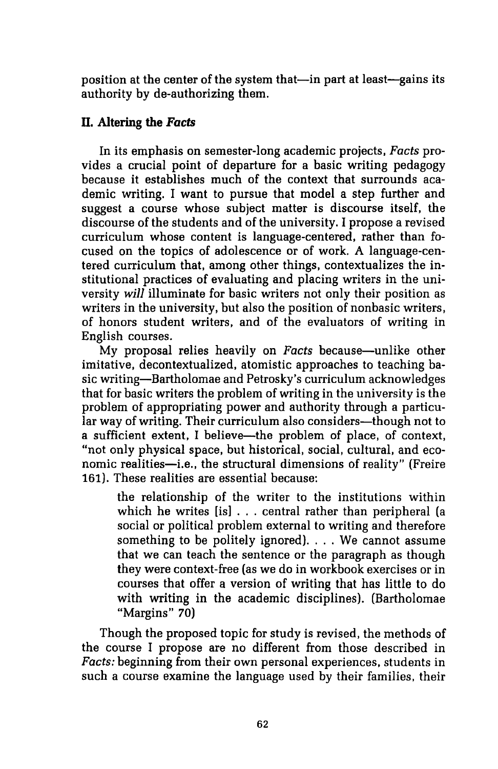position at the center of the system that—in part at least—gains its authority by de-authorizing them.

## **II. Altering the** *Facts*

In its emphasis on semester-long academic projects, Facts provides a crucial point of departure for a basic writing pedagogy because it establishes much of the context that surrounds academic writing. I want to pursue that model a step further and suggest a course whose subject matter is discourse itself, the discourse of the students and of the university. I propose a revised curriculum whose content is language-centered, rather than focused on the topics of adolescence or of work. A language-centered curriculum that, among other things, contextualizes the institutional practices of evaluating and placing writers in the university *will* illuminate for basic writers not only their position as writers in the university, but also the position of nonbasic writers, of honors student writers, and of the evaluators of writing in English courses.

My proposal relies heavily on Facts because-unlike other imitative, decontextualized, atomistic approaches to teaching basic writing-Bartholomae and Petrosky's curriculum acknowledges that for basic writers the problem of writing in the university is the problem of appropriating power and authority through a particular way of writing. Their curriculum also considers—though not to a sufficient extent, I believe-the problem of place, of context, "not only physical space, but historical, social, cultural, and economic realities-i.e., the structural dimensions of reality" (Freire 161). These realities are essential because:

the relationship of the writer to the institutions within which he writes [is] ... central rather than peripheral (a social or political problem external to writing and therefore something to be politely ignored). . . . We cannot assume that we can teach the sentence or the paragraph as though they were context-free (as we do in workbook exercises or in courses that offer a version of writing that has little to do with writing in the academic disciplines). (Bartholomae "Margins" 70)

Though the proposed topic for study is revised, the methods of the course I propose are no different from those described in Facts: beginning from their own personal experiences, students in such a course examine the language used by their families, their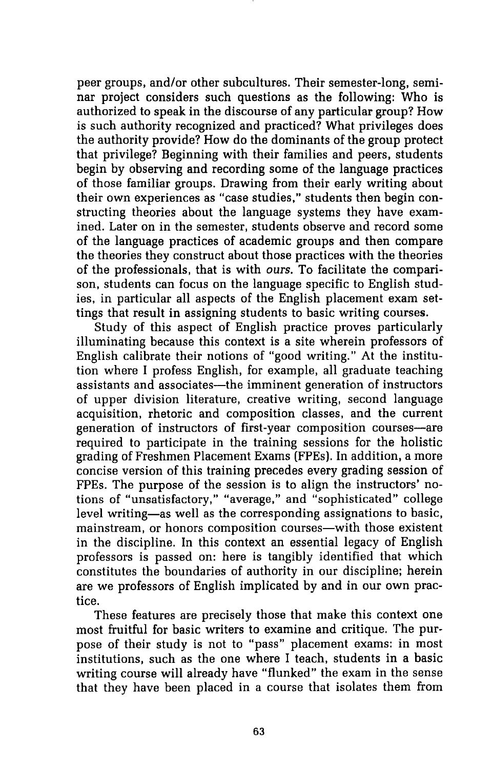peer groups, and/or other subcultures. Their semester-long, seminar project considers such questions as the following: Who is authorized to speak in the discourse of any particular group? How is such authority recognized and practiced? What privileges does the authority provide? How do the dominants of the group protect that privilege? Beginning with their families and peers, students begin by observing and recording some of the language practices of those familiar groups. Drawing from their early writing about their own experiences as "case studies," students then begin constructing theories about the language systems they have examined. Later on in the semester, students observe and record some of the language practices of academic groups and then compare the theories they construct about those practices with the theories of the professionals, that is with *ours.* To facilitate the comparison, students can focus on the language specific to English studies, in particular all aspects of the English placement exam settings that result in assigning students to basic writing courses.

Study of this aspect of English practice proves particularly illuminating because this context is a site wherein professors of English calibrate their notions of "good writing." At the institution where I profess English, for example, all graduate teaching assistants and associates—the imminent generation of instructors of upper division literature, creative writing, second language acquisition, rhetoric and composition classes, and the current generation of instructors of first-year composition courses-are required to participate in the training sessions for the holistic grading of Freshmen Placement Exams (FPEs). In addition, a more concise version of this training precedes every grading session of FPEs. The purpose of the session is to align the instructors' notions of "unsatisfactory," "average," and "sophisticated" college level writing-as well as the corresponding assignations to basic, mainstream, or honors composition courses—with those existent in the discipline. In this context an essential legacy of English professors is passed on: here is tangibly identified that which constitutes the boundaries of authority in our discipline; herein are we professors of English implicated by and in our own practice.

These features are precisely those that make this context one most fruitful for basic writers to examine and critique. The purpose of their study is not to "pass" placement exams: in most institutions, such as the one where I teach, students in a basic writing course will already have "flunked" the exam in the sense that they have been placed in a course that isolates them from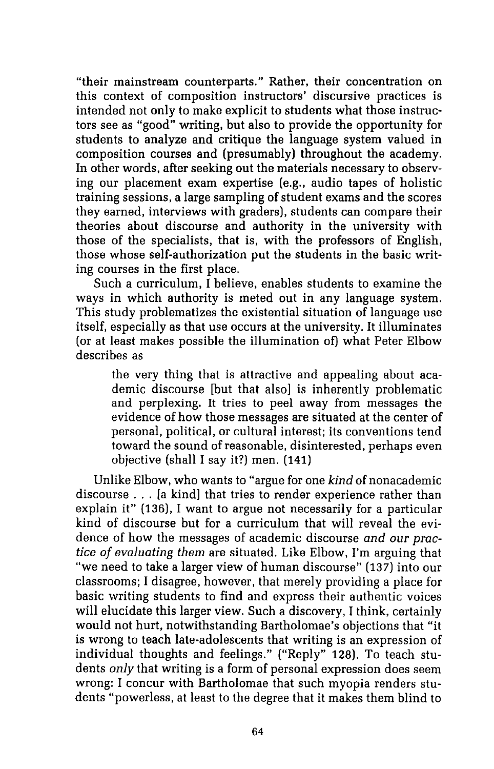"their mainstream counterparts." Rather, their concentration on this context of composition instructors' discursive practices is intended not only to make explicit to students what those instructors see as "good" writing, but also to provide the opportunity for students to analyze and critique the language system valued in composition courses and (presumably) throughout the academy. In other words, after seeking out the materials necessary to observing our placement exam expertise (e.g., audio tapes of holistic training sessions, a large sampling of student exams and the scores they earned, interviews with graders), students can compare their theories about discourse and authority in the university with those of the specialists, that is, with the professors of English, those whose self-authorization put the students in the basic writing courses in the first place.

Such a curriculum, I believe, enables students to examine the ways in which authority is meted out in any language system. This study problematizes the existential situation of language use itself, especially as that use occurs at the university. It illuminates (or at least makes possible the illumination of) what Peter Elbow describes as

the very thing that is attractive and appealing about academic discourse [but that also] is inherently problematic and perplexing. It tries to peel away from messages the evidence of how those messages are situated at the center of personal, political, or cultural interest; its conventions tend toward the sound ofreasonable, disinterested, perhaps even objective (shall I say it?) men. (141)

Unlike Elbow, who wants to "argue for one *kind* of nonacademic discourse ... [a kind] that tries to render experience rather than explain it" (136), I want to argue not necessarily for a particular kind of discourse but for a curriculum that will reveal the evidence of how the messages of academic discourse *and our practice of evaluating them* are situated. Like Elbow, I'm arguing that "we need to take a larger view of human discourse" (137) into our classrooms; I disagree, however, that merely providing a place for basic writing students to find and express their authentic voices will elucidate this larger view. Such a discovery, I think, certainly would not hurt, notwithstanding Bartholomae's objections that "it is wrong to teach late-adolescents that writing is an expression of individual thoughts and feelings." ("Reply" 128). To teach students *only* that writing is a form of personal expression does seem wrong: I concur with Bartholomae that such myopia renders students "powerless, at least to the degree that it makes them blind to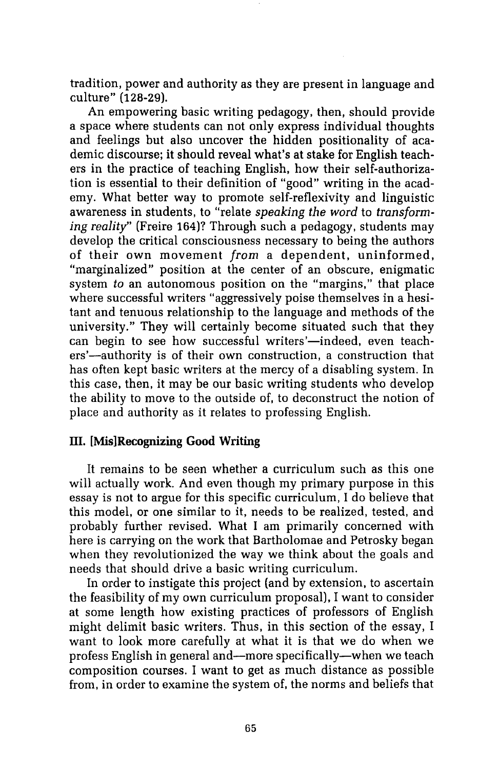tradition, power and authority as they are present in language and culture" (128-29).

An empowering basic writing pedagogy, then, should provide a space where students can not only express individual thoughts and feelings but also uncover the hidden positionality of academic discourse; it should reveal what's at stake for English teachers in the practice of teaching English, how their self-authorization is essential to their definition of "good" writing in the academy. What better way to promote self-reflexivity and linguistic awareness in students, to "relate *speaking the word* to *transforming reality"* (Freire 164)? Through such a pedagogy, students may develop the critical consciousness necessary to being the authors of their own movement *from* a dependent, uninformed, "marginalized" position at the center of an obscure, enigmatic system *to* an autonomous position on the "margins," that place where successful writers "aggressively poise themselves in a hesitant and tenuous relationship to the language and methods of the university." They will certainly become situated such that they can begin to see how successful writers'—indeed, even teachers'-authority is of their own construction, a construction that has often kept basic writers at the mercy of a disabling system. In this case, then, it may be our basic writing students who develop the ability to move to the outside of, to deconstruct the notion of place and authority as it relates to professing English.

### III. [Mis]Recognizing Good Writing

It remains to be seen whether a curriculum such as this one will actually work. And even though my primary purpose in this essay is not to argue for this specific curriculum, I do believe that this model, or one similar to it, needs to be realized, tested, and probably further revised. What I am primarily concerned with here is carrying on the work that Bartholomae and Petrosky began when they revolutionized the way we think about the goals and needs that should drive a basic writing curriculum.

In order to instigate this project (and by extension, to ascertain the feasibility of my own curriculum proposal), I want to consider at some length how existing practices of professors of English might delimit basic writers. Thus, in this section of the essay, I want to look more carefully at what it is that we do when we profess English in general and-more specifically-when we teach composition courses. I want to get as much distance as possible from, in order to examine the system of, the norms and beliefs that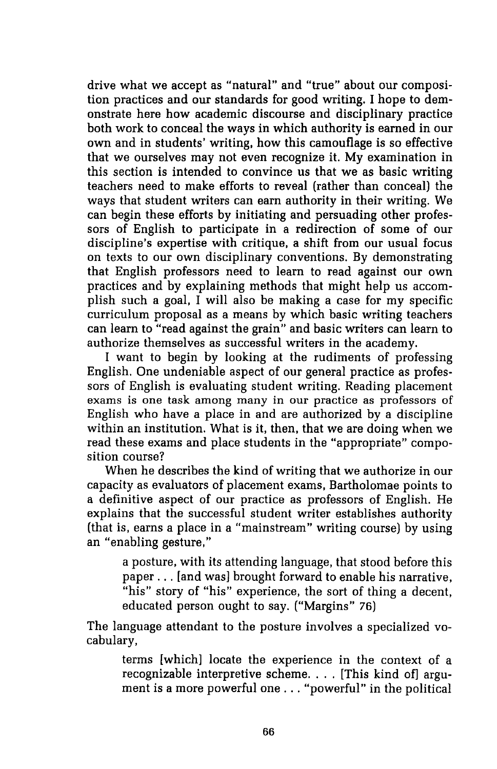drive what we accept as "natural" and "true" about our composition practices and our standards for good writing. I hope to demonstrate here how academic discourse and disciplinary practice both work to conceal the ways in which authority is earned in our own and in students' writing, how this camouflage is so effective that we ourselves may not even recognize it. My examination in this section is intended to convince us that we as basic writing teachers need to make efforts to reveal (rather than conceal) the ways that student writers can earn authority in their writing. We can begin these efforts by initiating and persuading other professors of English to participate in a redirection of some of our discipline's expertise with critique, a shift from our usual focus on texts to our own disciplinary conventions. By demonstrating that English professors need to learn to read against our own practices and by explaining methods that might help us accomplish such a goal, I will also be making a case for my specific curriculum proposal as a means by which basic writing teachers can learn to "read against the grain" and basic writers can learn to authorize themselves as successful writers in the academy.

I want to begin by looking at the rudiments of professing English. One undeniable aspect of our general practice as professors of English is evaluating student writing. Reading placement exams is one task among many in our practice as professors of English who have a place in and are authorized by a discipline within an institution. What is it, then, that we are doing when we read these exams and place students in the "appropriate" composition course?

When he describes the kind of writing that we authorize in our capacity as evaluators of placement exams, Bartholomae points to a definitive aspect of our practice as professors of English. He explains that the successful student writer establishes authority (that is, earns a place in a "mainstream" writing course) by using an "enabling gesture,"

a posture, with its attending language, that stood before this paper ... [and was] brought forward to enable his narrative, "his" story of "his" experience, the sort of thing a decent, educated person ought to say. ("Margins" 76)

The language attendant to the posture involves a specialized vocabulary,

terms [which] locate the experience in the context of a recognizable interpretive scheme. . . . [This kind of] argument is a more powerful one ... "powerful" in the political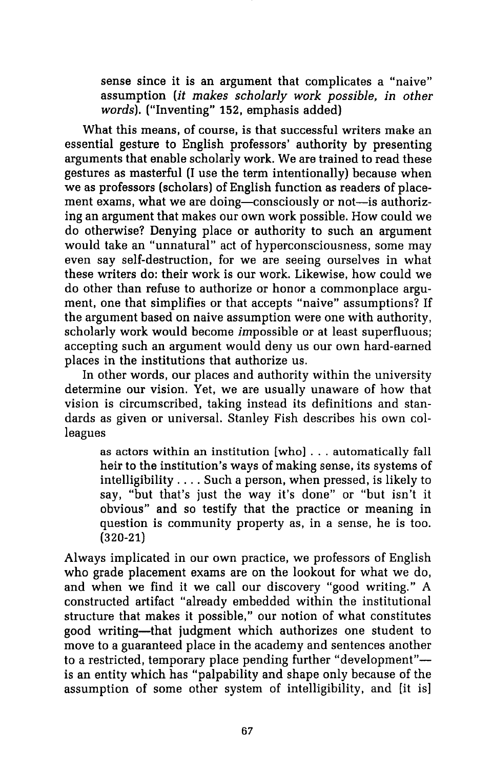sense since it is an argument that complicates a "naive" assumption *(it makes scholarly work possible, in other words).* ("Inventing" 152, emphasis added)

What this means, of course, is that successful writers make an essential gesture to English professors' authority by presenting arguments that enable scholarly work. We are trained to read these gestures as masterful (I use the term intentionally) because when we as professors (scholars) of English function as readers of placement exams, what we are doing-consciously or not-is authorizing an argument that makes our own work possible. How could we do otherwise? Denying place or authority to such an argument would take an "unnatural" act of hyperconsciousness, some may even say self-destruction, for we are seeing ourselves in what these writers do: their work is our work. Likewise, how could we do other than refuse to authorize or honor a commonplace argument, one that simplifies or that accepts "naive" assumptions? If the argument based on naive assumption were one with authority, scholarly work would become impossible or at least superfluous; accepting such an argument would deny us our own hard-earned places in the institutions that authorize us.

In other words, our places and authority within the university determine our vision. Yet, we are usually unaware of how that vision is circumscribed, taking instead its definitions and standards as given or universal. Stanley Fish describes his own colleagues

as actors within an institution [who] ... automatically fall heir to the institution's ways of making sense, its systems of intelligibility .... Such a person, when pressed, is likely to say, "but that's just the way it's done" or "but isn't it obvious" and so testify that the practice or meaning in question is community property as, in a sense, he is too. (320-21)

Always implicated in our own practice, we professors of English who grade placement exams are on the lookout for what we do, and when we find it we call our discovery "good writing." A constructed artifact "already embedded within the institutional structure that makes it possible," our notion of what constitutes good writing-that judgment which authorizes one student to move to a guaranteed place in the academy and sentences another to a restricted, temporary place pending further "development"is an entity which has "palpability and shape only because of the assumption of some other system of intelligibility, and [it is]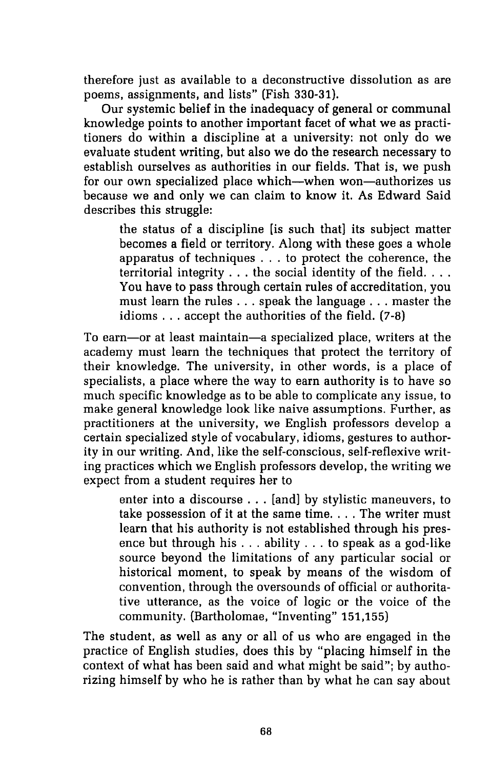therefore just as available to a deconstructive dissolution as are poems, assignments, and lists" (Fish 330-31).

Our systemic belief in the inadequacy of general or communal knowledge points to another important facet of what we as practitioners do within a discipline at a university: not only do we evaluate student writing, but also we do the research necessary to establish ourselves as authorities in our fields. That is, we push for our own specialized place which—when won—authorizes us because we and only we can claim to know it. As Edward Said describes this struggle:

the status of a discipline [is such that] its subject matter becomes a field or territory. Along with these goes a whole apparatus of techniques ... to protect the coherence, the territorial integrity  $\dots$  the social identity of the field... You have to pass through certain rules of accreditation, you must learn the rules ... speak the language ... master the idioms ... accept the authorities of the field. (7-8)

To earn-or at least maintain-a specialized place, writers at the academy must learn the techniques that protect the territory of their knowledge. The university, in other words, is a place of specialists, a place where the way to earn authority is to have so much specific knowledge as to be able to complicate any issue, to make general knowledge look like naive assumptions. Further, as practitioners at the university, we English professors develop a certain specialized style of vocabulary, idioms, gestures to authority in our writing. And, like the self-conscious, self-reflexive writing practices which we English professors develop, the writing we expect from a student requires her to

enter into a discourse ... [and] by stylistic maneuvers, to take possession of it at the same time. . . . The writer must learn that his authority is not established through his presence but through his ... ability ... to speak as a god-like source beyond the limitations of any particular social or historical moment, to speak by means of the wisdom of convention, through the oversounds of official or authoritative utterance, as the voice of logic or the voice of the community. (Bartholomae, "Inventing" 151,155)

The student, as well as any or all of us who are engaged in the practice of English studies, does this by "placing himself in the context of what has been said and what might be said"; by authorizing himself by who he is rather than by what he can say about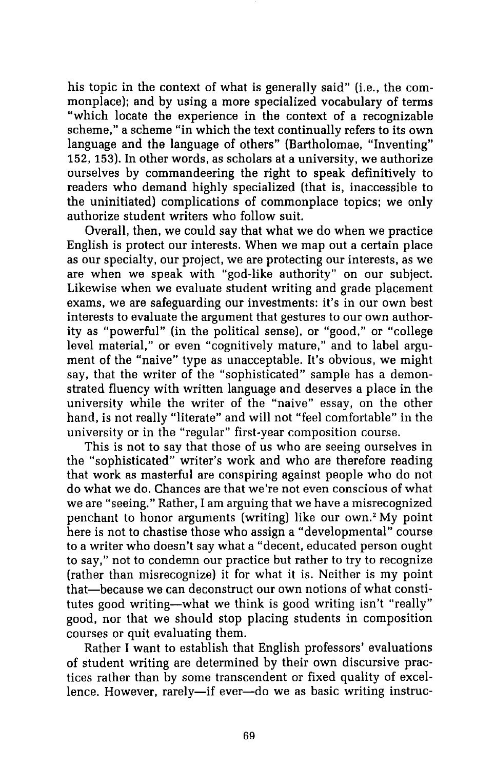his topic in the context of what is generally said" (i.e., the commonplace); and by using a more specialized vocabulary of terms "which locate the experience in the context of a recognizable scheme," a scheme "in which the text continually refers to its own language and the language of others" (Bartholomae, "Inventing" 152, 153). In other words, as scholars at a university, we authorize ourselves by commandeering the right to speak definitively to readers who demand highly specialized (that is, inaccessible to the uninitiated) complications of commonplace topics; we only authorize student writers who follow suit.

Overall, then, we could say that what we do when we practice English is protect our interests. When we map out a certain place as our specialty, our project, we are protecting our interests, as we are when we speak with "god-like authority" on our subject. Likewise when we evaluate student writing and grade placement exams, we are safeguarding our investments: it's in our own best interests to evaluate the argument that gestures to our own authority as "powerful" (in the political sense), or "good," or "college level material," or even "cognitively mature," and to label argument of the "naive" type as unacceptable. It's obvious, we might say, that the writer of the "sophisticated" sample has a demonstrated fluency with written language and deserves a place in the university while the writer of the "naive" essay, on the other hand, is not really "literate" and will not "feel comfortable" in the university or in the "regular" first-year composition course.

This is not to say that those of us who are seeing ourselves in the "sophisticated" writer's work and who are therefore reading that work as masterful are conspiring against people who do not do what we do. Chances are that we're not even conscious of what we are "seeing." Rather, I am arguing that we have a misrecognized penchant to honor arguments (writing) like our own. <sup>2</sup>My point here is not to chastise those who assign a "developmental" course to a writer who doesn't say what a "decent, educated person ought to say," not to condemn our practice but rather to try to recognize (rather than misrecognize) it for what it is. Neither is my point that-because we can deconstruct our own notions of what constitutes good writing-what we think is good writing isn't "really" good, nor that we should stop placing students in composition courses or quit evaluating them.

Rather I want to establish that English professors' evaluations of student writing are determined by their own discursive practices rather than by some transcendent or fixed quality of excellence. However, rarely-if ever-do we as basic writing instruc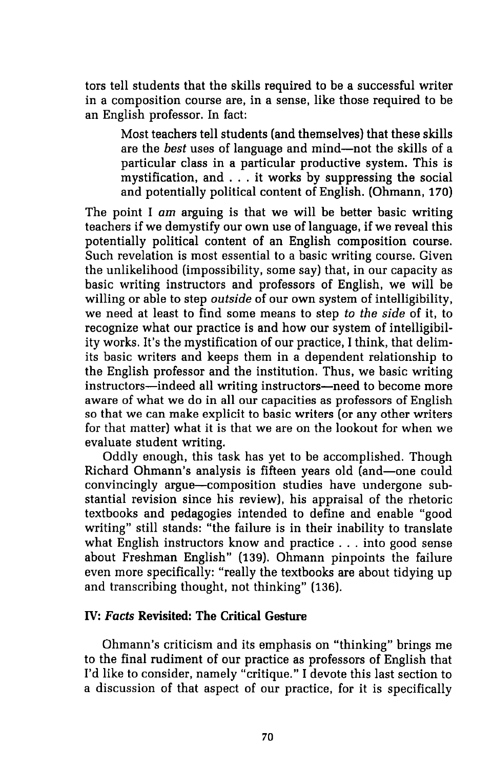tors tell students that the skills required to be a successful writer in a composition course are, in a sense, like those required to be an English professor. In fact:

Most teachers tell students (and themselves) that these skills are the *best* uses of language and mind-not the skills of a particular class in a particular productive system. This is mystification, and ... it works by suppressing the social and potentially political content of English. (Ohmann, 170)

The point I am arguing is that we will be better basic writing teachers if we demystify our own use of language, if we reveal this potentially political content of an English composition course. Such revelation is most essential to a basic writing course. Given the unlikelihood (impossibility, some say) that, in our capacity as basic writing instructors and professors of English, we will be willing or able to step *outside* of our own system of intelligibility, we need at least to find some means to step *to the side* of it, to recognize what our practice is and how our system of intelligibility works. It's the mystification of our practice, I think, that delimits basic writers and keeps them in a dependent relationship to the English professor and the institution. Thus, we basic writing instructors-indeed all writing instructors-need to become more aware of what we do in all our capacities as professors of English so that we can make explicit to basic writers (or any other writers for that matter) what it is that we are on the lookout for when we evaluate student writing.

Oddly enough, this task has yet to be accomplished. Though Richard Ohmann's analysis is fifteen years old (and-one could convincingly argue-composition studies have undergone substantial revision since his review), his appraisal of the rhetoric textbooks and pedagogies intended to define and enable "good writing" still stands: "the failure is in their inability to translate what English instructors know and practice ... into good sense about Freshman English" (139). Ohmann pinpoints the failure even more specifically: "really the textbooks are about tidying up and transcribing thought, not thinking" (136).

## IV: *Facts* Revisited: The Critical Gesture

Ohmann's criticism and its emphasis on "thinking" brings me to the final rudiment of our practice as professors of English that I'd like to consider, namely "critique." I devote this last section to a discussion of that aspect of our practice, for it is specifically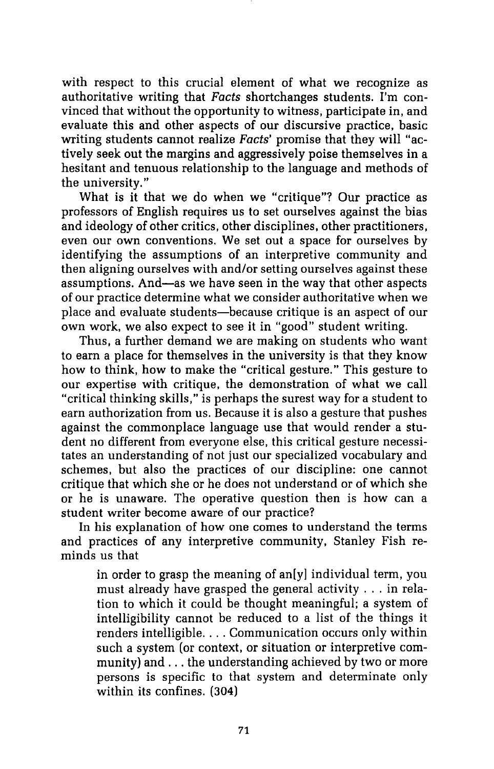with respect to this crucial element of what we recognize as authoritative writing that Facts shortchanges students. I'm convinced that without the opportunity to witness, participate in, and evaluate this and other aspects of our discursive practice, basic writing students cannot realize Facts' promise that they will "actively seek out the margins and aggressively poise themselves in a hesitant and tenuous relationship to the language and methods of the university."

What is it that we do when we "critique"? Our practice as professors of English requires us to set ourselves against the bias and ideology of other critics, other disciplines, other practitioners, even our own conventions. We set out a space for ourselves by identifying the assumptions of an interpretive community and then aligning ourselves with and/or setting ourselves against these assumptions. And-as we have seen in the way that other aspects of our practice determine what we consider authoritative when we place and evaluate students-because critique is an aspect of our own work, we also expect to see it in "good" student writing.

Thus, a further demand we are making on students who want to earn a place for themselves in the university is that they know how to think, how to make the "critical gesture." This gesture to our expertise with critique, the demonstration of what we call "critical thinking skills," is perhaps the surest way for a student to earn authorization from us. Because it is also a gesture that pushes against the commonplace language use that would render a student no different from everyone else, this critical gesture necessitates an understanding of not just our specialized vocabulary and schemes, but also the practices of our discipline: one cannot critique that which she or he does not understand or of which she or he is unaware. The operative question then is how can a student writer become aware of our practice?

In his explanation of how one comes to understand the terms and practices of any interpretive community, Stanley Fish reminds us that

in order to grasp the meaning of an[y] individual term, you must already have grasped the general activity ... in relation to which it could be thought meaningful; a system of intelligibility cannot be reduced to a list of the things it renders intelligible. . . . Communication occurs only within such a system (or context, or situation or interpretive community) and ... the understanding achieved by two or more persons is specific to that system and determinate only within its confines. (304)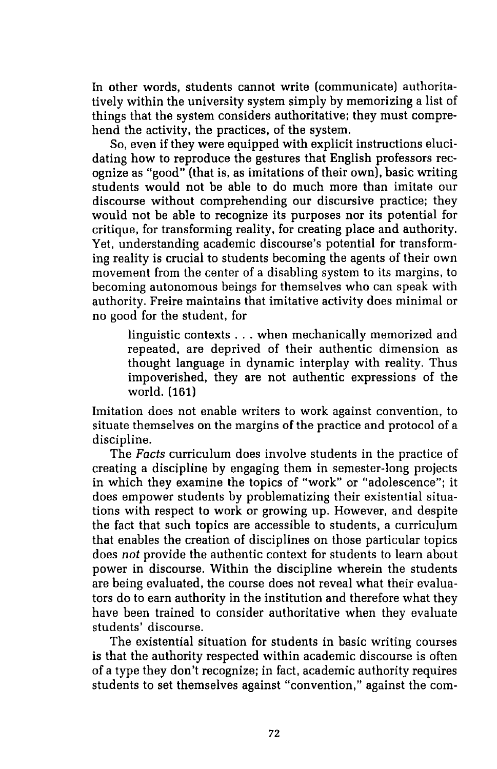In other words, students cannot write (communicate) authoritatively within the university system simply by memorizing a list of things that the system considers authoritative; they must comprehend the activity, the practices, of the system.

So, even if they were equipped with explicit instructions elucidating how to reproduce the gestures that English professors recognize as "good" (that is, as imitations of their own), basic writing students would not be able to do much more than imitate our discourse without comprehending our discursive practice; they would not be able to recognize its purposes nor its potential for critique, for transforming reality, for creating place and authority. Yet, understanding academic discourse's potential for transforming reality is crucial to students becoming the agents of their own movement from the center of a disabling system to its margins, to becoming autonomous beings for themselves who can speak with authority. Freire maintains that imitative activity does minimal or no good for the student, for

linguistic contexts ... when mechanically memorized and repeated, are deprived of their authentic dimension as thought language in dynamic interplay with reality. Thus impoverished, they are not authentic expressions of the world. (161)

Imitation does not enable writers to work against convention, to situate themselves on the margins of the practice and protocol of a discipline.

The *Facts* curriculum does involve students in the practice of creating a discipline by engaging them in semester-long projects in which they examine the topics of "work" or "adolescence"; it does empower students by problematizing their existential situations with respect to work or growing up. However, and despite the fact that such topics are accessible to students, a curriculum that enables the creation of disciplines on those particular topics does not provide the authentic context for students to learn about power in discourse. Within the discipline wherein the students are being evaluated, the course does not reveal what their evaluators do to earn authority in the institution and therefore what they have been trained to consider authoritative when they evaluate students' discourse.

The existential situation for students in basic writing courses is that the authority respected within academic discourse is often of a type they don't recognize; in fact, academic authority requires students to set themselves against "convention," against the com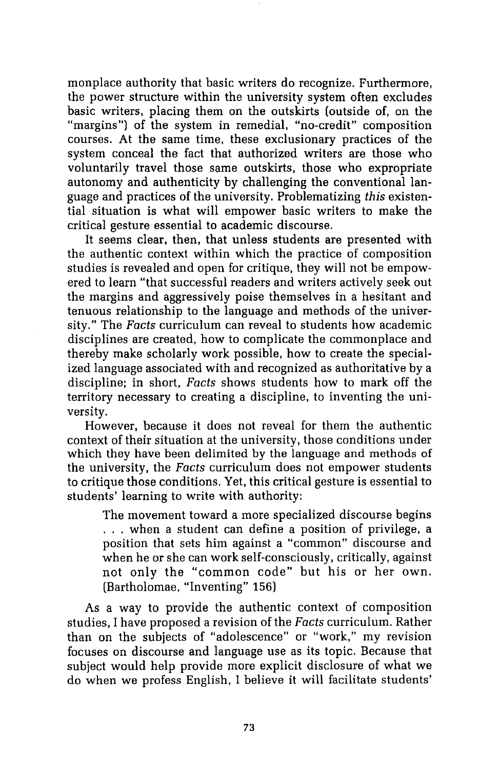monplace authority that basic writers do recognize. Furthermore, the power structure within the university system often excludes basic writers, placing them on the outskirts (outside of, on the "margins") of the system in remedial, "no-credit" composition courses. At the same time, these exclusionary practices of the system conceal the fact that authorized writers are those who voluntarily travel those same outskirts, those who expropriate autonomy and authenticity by challenging the conventional language and practices of the university. Problematizing *this* existential situation is what will empower basic writers to make the critical gesture essential to academic discourse.

It seems clear, then, that unless students are presented with the authentic context within which the practice of composition studies is revealed and open for critique, they will not be empowered to learn "that successful readers and writers actively seek out the margins and aggressively poise themselves in a hesitant and tenuous relationship to the language and methods of the university." The *Facts* curriculum can reveal to students how academic disciplines are created, how to complicate the commonplace and thereby make scholarly work possible, how to create the specialized language associated with and recognized as authoritative by a discipline; in short, *Facts* shows students how to mark off the territory necessary to creating a discipline, to inventing the university.

However, because it does not reveal for them the authentic context of their situation at the university, those conditions under which they have been delimited by the language and methods of the university, the *Facts* curriculum does not empower students to critique those conditions. Yet, this critical gesture is essential to students' learning to write with authority:

The movement toward a more specialized discourse begins ... when a student can define a position of privilege, a position that sets him against a "common" discourse and when he or she can work self-consciously, critically, against not only the "common code" but his or her own. (Bartholomae, "Inventing" 156)

As a way to provide the authentic context of composition studies, I have proposed a revision of the *Facts* curriculum. Rather than on the subjects of "adolescence" or "work," my revision focuses on discourse and language use as its topic. Because that subject would help provide more explicit disclosure of what we do when we profess English, I believe it will facilitate students'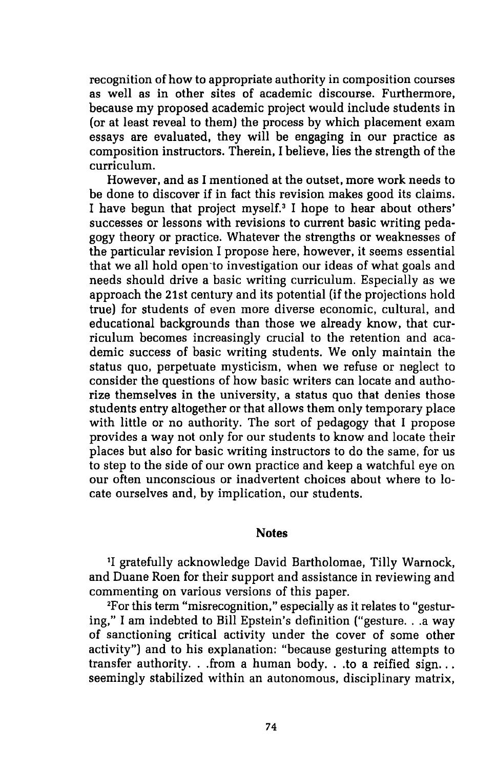recognition of how to appropriate authority in composition courses as well as in other sites of academic discourse. Furthermore, because my proposed academic project would include students in (or at least reveal to them) the process by which placement exam essays are evaluated, they will be engaging in our practice as composition instructors. Therein, I believe, lies the strength of the curriculum.

However, and as I mentioned at the outset, more work needs to be done to discover if in fact this revision makes good its claims. I have begun that project myself.<sup>3</sup> I hope to hear about others' successes or lessons with revisions to current basic writing pedagogy theory or practice. Whatever the strengths or weaknesses of the particular revision I propose here, however, it seems essential that we all hold open-to investigation our ideas of what goals and needs should drive a basic writing curriculum. Especially as we approach the 21st century and its potential (if the projections hold true) for students of even more diverse economic, cultural, and educational backgrounds than those we already know, that curriculum becomes increasingly crucial to the retention and academic success of basic writing students. We only maintain the status quo, perpetuate mysticism, when we refuse or neglect to consider the questions of how basic writers can locate and authorize themselves in the university, a status quo that denies those students entry altogether or that allows them only temporary place with little or no authority. The sort of pedagogy that I propose provides a way not only for our students to know and locate their places but also for basic writing instructors to do the same, for us to step to the side of our own practice and keep a watchful eye on our often unconscious or inadvertent choices about where to locate ourselves and, by implication, our students.

#### **Notes**

1 1 gratefully acknowledge David Bartholomae, Tilly Warnock, and Duane Roen for their support and assistance in reviewing and commenting on various versions of this paper.

2 For this term "misrecognition," especially as it relates to "gesturing," I am indebted to Bill Epstein's definition ("gesture...a way of sanctioning critical activity under the cover of some other activity") and to his explanation: "because gesturing attempts to transfer authority. . .from a human body. . .to a reified sign... seemingly stabilized within an autonomous, disciplinary matrix,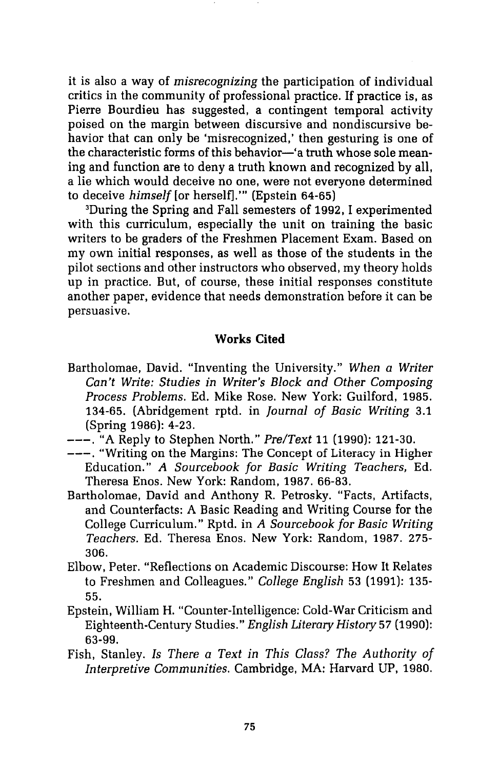it is also a way of *misrecognizing* the participation of individual critics in the community of professional practice. If practice is, as Pierre Bourdieu has suggested, a contingent temporal activity poised on the margin between discursive and nondiscursive behavior that can only be 'misrecognized,' then gesturing is one of the characteristic forms of this behavior—'a truth whose sole meaning and function are to deny a truth known and recognized by all, a lie which would deceive no one, were not everyone determined to deceive *himself[or* herself]."' (Epstein 64-65)

3 During the Spring and Fall semesters of 1992, I experimented with this curriculum, especially the unit on training the basic writers to be graders of the Freshmen Placement Exam. Based on my own initial responses, as well as those of the students in the pilot sections and other instructors who observed, my theory holds up in practice. But, of course, these initial responses constitute another paper, evidence that needs demonstration before it can be persuasive.

#### **Works Cited**

- Bartholomae, David. "Inventing the University." *When a Writer Can't Write: Studies in Writer's Block and Other Composing Process Problems.* Ed. Mike Rose. New York: Guilford, 1985. 134-65. (Abridgement rptd. in *Journal of Basic Writing* 3.1 (Spring 1986): 4-23.
- ---."A Reply to Stephen North." *Pre/Text* 11(1990):121-30.
- ---. "Writing on the Margins: The Concept of Literacy in Higher Education." *A Sourcebook for Basic Writing Teachers,* Ed. Theresa Enos. New York: Random, 1987. 66-83.
- Bartholomae, David and Anthony R. Petrosky. "Facts, Artifacts, and Counterfacts: A Basic Reading and Writing Course for the College Curriculum." Rptd. in *A Sourcebook for Basic Writing Teachers.* Ed. Theresa Enos. New York: Random, 1987. 275- 306.
- Elbow, Peter. "Reflections on Academic Discourse: How It Relates to Freshmen and Colleagues." *College English* 53 (1991): 135- 55.
- Epstein, William H. "Counter-Intelligence: Cold-War Criticism and Eighteenth-Century Studies." *English Literary History* 57 (1990): 63-99.
- Fish, Stanley. *Is There a Text in This Class? The Authority of Interpretive Communities.* Cambridge, MA: Harvard UP, 1980.